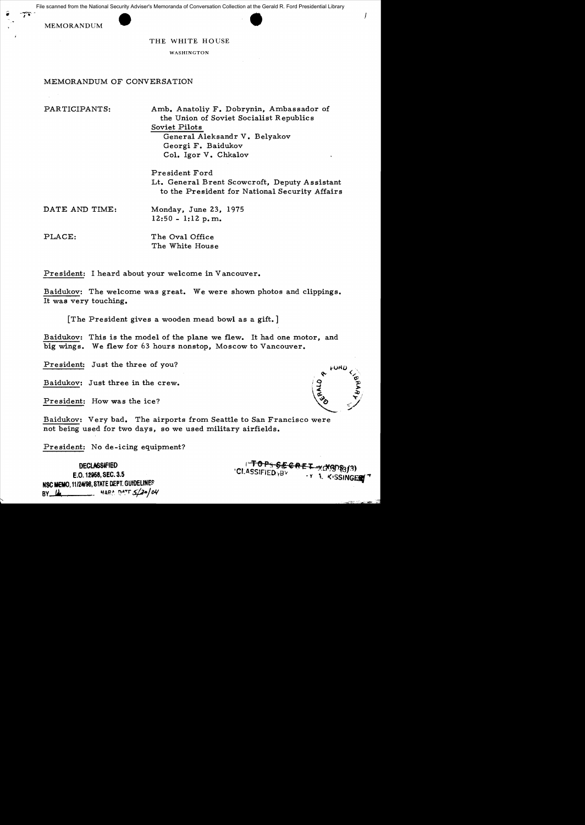ext the G File scanned from the National Security Adviser's Memoranda of Conversation Collection at the Gerald R. Ford Presidential Library

MEMORANDUM



WASHINGTON

## MEMORANDUM OF CONVERSATION

PARTICIPANTS: Amb. Anatoliy F. Dobrynin, Ambassador of the Union of Soviet Socialist Republics Soviet Pilots General A1eksandr V. Be1yakov Georgi F. Baidukov Col. Igor V. Chka10v

> President Ford Lt. General Brent Scowcroft, Deputy Assistant to the President for National Security Affairs

- DATE AND TIME: Monday, June 23, 1975 12:50 - 1:12 p.m.
- PLACE: The Oval Office The White House

President: I heard about your welcome in Vancouver.

Baidukov: The welcome was great. We were shown photos and clippings. It was very touching.

[The President gives a wooden mead bowl as a gift. ]

Baidukov: This is the model of the plane we flew. It had one motor, and big wings. We flew for 63 hours nonstop, Moscow to Vancouver.

President: Just the three of you?

Baidukov: Just three in the crew.

President: How was the ice?

Baidukov: Very bad. The airports from Seattle to San Francisco were not being used for two days, so we used military airfields.

President: No de-icing equipment?

**DECLASSIFIED** E.O. 12968, SEC. 3.5 NSC MEMO, 11/24/98, STATE DEPT. GUIDELINES BY  $14$  MARA DATE  $5/20/64$  ା<del>"TOPS SE CRET -</del>ჯერ§ე®ვ*∫*3)<br>'Cl:ASSIFIED<sub>Y</sub>BY - TY 1. KISSINGE<del>N</del>



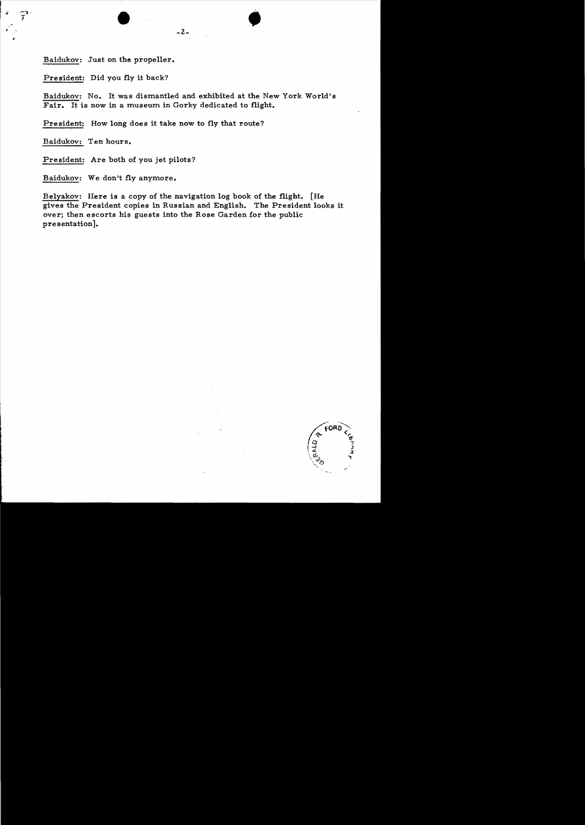Baidukov: Just on the propeller.

President: Did you fly it back?

Baidukov: No. It was dismantled and exhibited at the New York World's Fair. It is now in a museum in Gorky dedicated to flight.

 $\bullet$   $\bullet$   $\bullet$   $\bullet$ 

President; How long does it take now to fly that route?

Baidukov: Ten hours.

President: Are both of you jet pilots?

Baidukov: We don't fly anymore.

Belyakov: Here is a copy of the navigation log book of the flight. [He gives the President copies in Russian and English. The President looks it over; then escorts his guests into the Rose Garden for the public presentation].